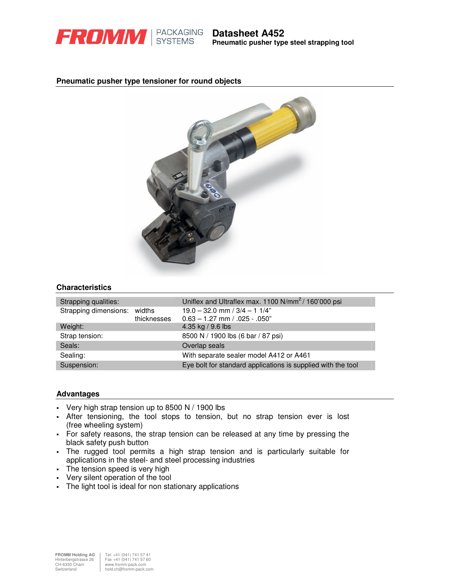

#### **Pneumatic pusher type tensioner for round objects**



### **Characteristics**

| Strapping qualities:         |             | Uniflex and Ultraflex max. 1100 N/mm <sup>2</sup> /160'000 psi |  |  |  |  |
|------------------------------|-------------|----------------------------------------------------------------|--|--|--|--|
| Strapping dimensions: widths |             | $19.0 - 32.0$ mm $/ 3/4 - 11/4"$                               |  |  |  |  |
|                              | thicknesses | $0.63 - 1.27$ mm $/ .025 - .050$ "                             |  |  |  |  |
| Weight:                      |             | 4.35 kg / 9.6 lbs                                              |  |  |  |  |
| Strap tension:               |             | 8500 N / 1900 lbs (6 bar / 87 psi)                             |  |  |  |  |
| Seals:                       |             | Overlap seals                                                  |  |  |  |  |
| Sealing:                     |             | With separate sealer model A412 or A461                        |  |  |  |  |
| Suspension:                  |             | Eye bolt for standard applications is supplied with the tool   |  |  |  |  |

#### **Advantages**

- Very high strap tension up to  $8500 \text{ N}$  / 1900 lbs
- After tensioning, the tool stops to tension, but no strap tension ever is lost (free wheeling system)
- For safety reasons, the strap tension can be released at any time by pressing the black safety push button
- The rugged tool permits a high strap tension and is particularly suitable for applications in the steel- and steel processing industries
- The tension speed is very high
- Very silent operation of the tool
- The light tool is ideal for non stationary applications